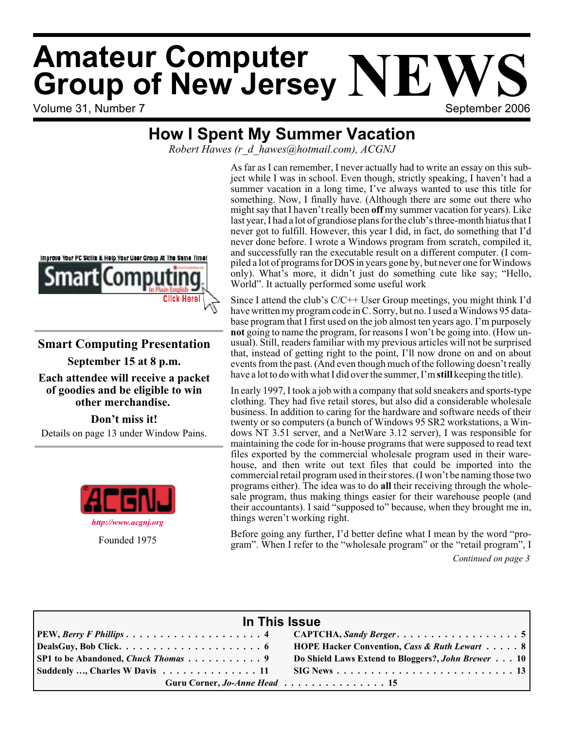# Volume 31, Number 7 September 2006 **Amateur Computer Group of New Jersey NEWS**

## **How I Spent My Summer Vacation**

*Robert Hawes (r\_d\_hawes@hotmail.com), ACGNJ*



## **Smart Computing Presentation**

**September 15 at 8 p.m.**

**Each attendee will receive a packet of goodies and be eligible to win other merchandise.**

**Don't miss it!** Details on page 13 under Window Pains.



As far as I can remember, I never actually had to write an essay on this subject while I was in school. Even though, strictly speaking, I haven't had a summer vacation in a long time, I've always wanted to use this title for something. Now, I finally have. (Although there are some out there who might say that I haven't really been **off** my summer vacation for years). Like last year, I had a lot of grandiose plans for the club's three-month hiatus that I never got to fulfill. However, this year I did, in fact, do something that I'd never done before. I wrote a Windows program from scratch, compiled it, and successfully ran the executable result on a different computer. (I compiled a lot of programs for DOS in years gone by, but never one for Windows only). What's more, it didn't just do something cute like say; "Hello, World". It actually performed some useful work

Since I attend the club's  $C/C++$  User Group meetings, you might think I'd have written my program code in C. Sorry, but no. I used a Windows 95 database program that I first used on the job almost ten years ago. I'm purposely **not** going to name the program, for reasons I won't be going into. (How unusual). Still, readers familiar with my previous articles will not be surprised that, instead of getting right to the point, I'll now drone on and on about events from the past. (And even though much of the following doesn't really have a lot to do with what I did over the summer, I'm**still** keeping the title).

In early 1997, I took a job with a company that sold sneakers and sports-type clothing. They had five retail stores, but also did a considerable wholesale business. In addition to caring for the hardware and software needs of their twenty or so computers (a bunch of Windows 95 SR2 workstations, a Windows NT 3.51 server, and a NetWare 3.12 server), I was responsible for maintaining the code for in-house programs that were supposed to read text files exported by the commercial wholesale program used in their warehouse, and then write out text files that could be imported into the commercial retail program used in their stores. (I won't be naming those two programs either). The idea was to do **all** their receiving through the wholesale program, thus making things easier for their warehouse people (and their accountants). I said "supposed to" because, when they brought me in, things weren't working right.

Before going any further, I'd better define what I mean by the word "program". When I refer to the "wholesale program" or the "retail program", I

*Continued on page 3*

## **In This Issue PEW,** *Berry F Phillips* **....................4 CAPTCHA,** *Sandy Berger***..................5 DealsGuy, Bob Click.....................6 HOPE Hacker Convention,** *Cass & Ruth Lewart* **.....8 SP1 to be Abandoned,** *Chuck Thomas* **. . . . . . . . . . . 9 Do Shield Laws Extend to Bloggers?,** *John Brewer* **. . . 10 Suddenly …, Charles W Davis . . . . . . . . . . . . . . 11 SIG News . . . . . . . . . . . . . . . . . . . . . . . . . . 13 Guru Corner,** *Jo-Anne Head* **. . . . . . . . . . . . . . . 15**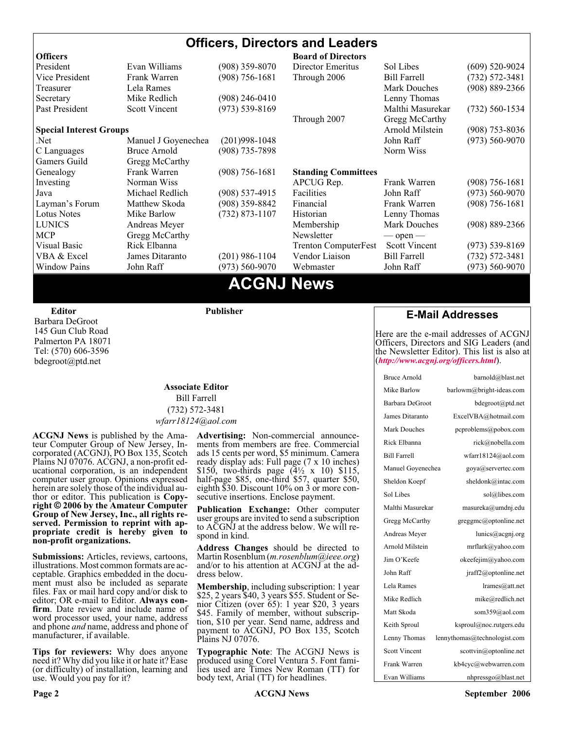#### **Officers, Directors and Leaders Officers Board of Directors**<br> **President** Evan Williams (908) 359-8070 Director Emeritus (908) 359-8070 Director Emeritus Sol Libes (609) 520-9024 Vice President Frank Warren (908) 756-1681 Through 2006 Bill Farrell (732) 572-3481 Treasurer Lela Rames Lela Annes (908) 889-2366 Secretary Mike Redlich (908) 246-0410 Lenny Thomas Past President Scott Vincent (973) 539-8169 Malthi Masurekar (732) 560-1534 Through 2007 Gregg McCarthy **Special Interest Groups Arnold Milstein** (908) 753-8036 Net 1973) Manuel J Goyenechea (201)998-1048<br>C Languages Bruce Arnold (908) 735-7898 100 Norm Wiss C Languages Bruce Arnold (908) 735-7898 Gamers Guild Gregg McCarthy Genealogy Frank Warren (908) 756-1681 **Standing Committees** Investing Norman Wiss APCUG Rep. Frank Warren (908) 756-1681<br>Java Michael Redlich (908) 537-4915 Facilities John Raff (973) 560-9070 Java Michael Redlich (908) 537-4915 Facilities John Raff (973) 560-9070 Layman's Forum Matthew Skoda (908) 359-8842 Financial Frank Warren (908) 756-1681 Lotus Notes Mike Barlow (732) 873-1107 Historian Lenny Thomas LUNICS Andreas Meyer Membership Mark Douches (908) 889-2366 MCP Gregg McCarthy Newsletter — open — Visual Basic Rick Elbanna Trenton ComputerFest Scott Vincent (973) 539-8169 VBA & Excel James Ditaranto (201) 986-1104 Vendor Liaison Bill Farrell (732) 572-3481 Window Pains John Raff (973) 560-9070 Webmaster John Raff (973) 560-9070

## **ACGNJ News**

**Editor**

Barbara DeGroot 145 Gun Club Road Palmerton PA 18071 Tel: (570) 606-3596 bdegroot@ptd.net

#### **Associate Editor** Bill Farrell (732) 572-3481 *wfarr18124@aol.com*

**Publisher**

**ACGNJ News** is published by the Ama- teur Computer Group of New Jersey, In- corporated (ACGNJ), PO Box 135, Scotch Plains NJ 07076. ACGNJ, a non-profit ed-<br>ucational corporation, is an independent computer user group. Opinions expressed<br>herein are solely those of the individual author or editor. This publication is **Copy-**<br>right © 2006 by the Amateur Computer<br>Group of New Jersey, Inc., all rights re-**Group of New Jersey, Inc., all rights re- served. Permission to reprint with ap- propriate credit is hereby given to non-profit organizations.**

**Submissions:** Articles, reviews, cartoons, illustrations. Most common formats are acceptable. Graphics embedded in the docu-<br>ment must also be included as separate files. Fax or mail hard copy and/or disk to editor: OR e-mail to Editor. **Always con**firm. Date review and include name of word processor used, your name, address and phone *and* name, address and phone of manufacturer, if available.

**Tips for reviewers:** Why does anyone need it? Why did you like it or hate it? Ease (or difficulty) of installation, learning and use. Would you pay for it?

**Advertising:** Non-commercial announce- ments from members are free. Commercial ads 15 cents per word, \$5 minimum. Camera ready display ads: Full page (7 x 10 inches) \$150, two-thirds page (4½ x 10) \$115, half-page \$85, one-third \$57, quarter \$50, eighth \$30. Discount 10% on 3 or more con- secutive insertions. Enclose payment.

**Publication Exchange:** Other computer user groups are invited to send a subscription to ACGNJ at the address below. We will re- spond in kind.

**Address Changes** should be directed to Martin Rosenblum (*m.rosenblum@ieee.org*) and/or to his attention at ACGNJ at the ad- dress below.

**Membership**, including subscription: 1 year \$25, 2 years \$40, 3 years \$55. Student or Senior Citizen (over 65): 1 year \$20, 3 years \$45. Family of member, without subscription, \$10 per year. Send name, address and payment to ACGNJ, PO Box 135, Scotch Plains NJ 07076.

**Typographic Note**: The ACGNJ News is produced using Corel Ventura 5. Font fami- lies used are Times New Roman (TT) for body text, Arial (TT) for headlines.

## **E-Mail Addresses**

Here are the e-mail addresses of ACGNJ Officers, Directors and SIG Leaders (and the Newsletter Editor). This list is also at (*<http://www.acgnj.org/officers.html>*).

| <b>Bruce Arnold</b>  | barnold@blast.net            |
|----------------------|------------------------------|
| Mike Barlow          | barlowm@bright-ideas.com     |
| Barbara DeGroot      | bdegroot@ptd.net             |
| James Ditaranto      | ExcelVBA@hotmail.com         |
| <b>Mark Douches</b>  | pcproblems@pobox.com         |
| Rick Elbanna         | rick@nobella.com             |
| <b>Bill Farrell</b>  | wfarr18124@aol.com           |
| Manuel Goyenechea    | goya@servertec.com           |
| Sheldon Koepf        | sheldonk@intac.com           |
| Sol Libes            | sol@libes.com                |
| Malthi Masurekar     | masureka@umdnj.edu           |
| Gregg McCarthy       | greggmc@optonline.net        |
| Andreas Meyer        | lunics@acgnj.org             |
| Arnold Milstein      | mrflark@yahoo.com            |
| Jim O'Keefe          | okeefejim@yahoo.com          |
| John Raff            | jraff2@optonline.net         |
| Lela Rames           | lrames@att.net               |
| Mike Redlich         | mike@redlich.net             |
| Matt Skoda           | som359@aol.com               |
| Keith Sproul         | ksproul@noc.rutgers.edu      |
| Lenny Thomas         | lennythomas@technologist.com |
| <b>Scott Vincent</b> | scottvin@optonline.net       |
| Frank Warren         | kb4cyc@webwarren.com         |
| Evan Williams        | nhpressgo@blast.net          |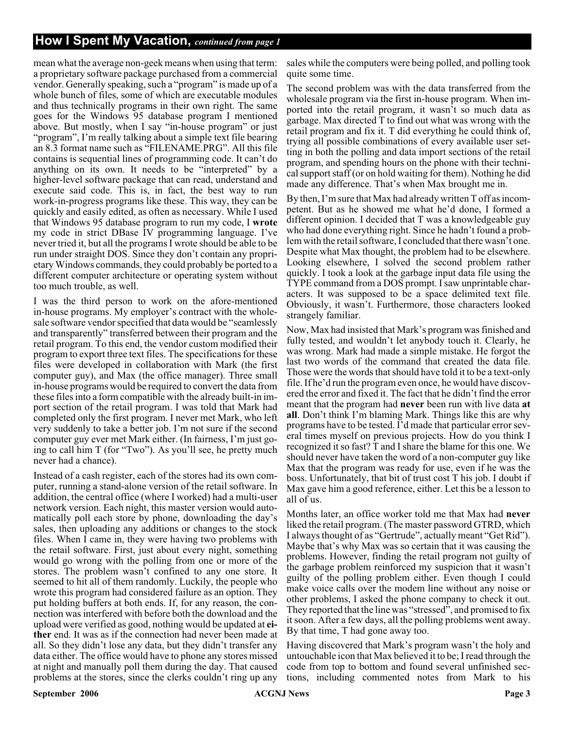## **How I Spent My Vacation,** *continued from page 1*

mean what the average non-geek means when using that term: a proprietary software package purchased from a commercial vendor. Generally speaking, such a "program" is made up of a whole bunch of files, some of which are executable modules and thus technically programs in their own right. The same goes for the Windows 95 database program I mentioned above. But mostly, when I say "in-house program" or just "program", I'm really talking about a simple text file bearing an 8.3 format name such as "FILENAME.PRG". All this file contains is sequential lines of programming code. It can't do anything on its own. It needs to be "interpreted" by a higher-level software package that can read, understand and execute said code. This is, in fact, the best way to run work-in-progress programs like these. This way, they can be quickly and easily edited, as often as necessary. While I used that Windows 95 database program to run my code, I **wrote** my code in strict DBase IV programming language. I've never tried it, but all the programs I wrote should be able to be run under straight DOS. Since they don't contain any proprietary Windows commands, they could probably be ported to a different computer architecture or operating system without too much trouble, as well.

I was the third person to work on the afore-mentioned in-house programs. My employer's contract with the wholesale software vendor specified that data would be "seamlessly and transparently" transferred between their program and the retail program. To this end, the vendor custom modified their program to export three text files. The specifications for these files were developed in collaboration with Mark (the first computer guy), and Max (the office manager). Three small in-house programs would be required to convert the data from these files into a form compatible with the already built-in import section of the retail program. I was told that Mark had completed only the first program. I never met Mark, who left very suddenly to take a better job. I'm not sure if the second computer guy ever met Mark either. (In fairness, I'm just going to call him T (for "Two"). As you'll see, he pretty much never had a chance).

Instead of a cash register, each of the stores had its own computer, running a stand-alone version of the retail software. In addition, the central office (where I worked) had a multi-user network version. Each night, this master version would automatically poll each store by phone, downloading the day's sales, then uploading any additions or changes to the stock files. When I came in, they were having two problems with the retail software. First, just about every night, something would go wrong with the polling from one or more of the stores. The problem wasn't confined to any one store. It seemed to hit all of them randomly. Luckily, the people who wrote this program had considered failure as an option. They put holding buffers at both ends. If, for any reason, the connection was interfered with before both the download and the upload were verified as good, nothing would be updated at **either** end. It was as if the connection had never been made at all. So they didn't lose any data, but they didn't transfer any data either. The office would have to phone any stores missed at night and manually poll them during the day. That caused problems at the stores, since the clerks couldn't ring up any

sales while the computers were being polled, and polling took quite some time.

The second problem was with the data transferred from the wholesale program via the first in-house program. When imported into the retail program, it wasn't so much data as garbage. Max directed T to find out what was wrong with the retail program and fix it. T did everything he could think of, trying all possible combinations of every available user setting in both the polling and data import sections of the retail program, and spending hours on the phone with their technical support staff (or on hold waiting for them). Nothing he did made any difference. That's when Max brought me in.

By then, I'm sure that Max had already written T off as incompetent. But as he showed me what he'd done, I formed a different opinion. I decided that T was a knowledgeable guy who had done everything right. Since he hadn't found a problem with the retail software, I concluded that there wasn't one. Despite what Max thought, the problem had to be elsewhere. Looking elsewhere, I solved the second problem rather quickly. I took a look at the garbage input data file using the TYPE command from a DOS prompt. I saw unprintable characters. It was supposed to be a space delimited text file. Obviously, it wasn't. Furthermore, those characters looked strangely familiar.

Now, Max had insisted that Mark's program was finished and fully tested, and wouldn't let anybody touch it. Clearly, he was wrong. Mark had made a simple mistake. He forgot the last two words of the command that created the data file. Those were the words that should have told it to be a text-only file. If he'd run the program even once, he would have discovered the error and fixed it. The fact that he didn't find the error meant that the program had **never** been run with live data **at all**. Don't think I'm blaming Mark. Things like this are why programs have to be tested. I'd made that particular error several times myself on previous projects. How do you think I recognized it so fast? T and I share the blame for this one. We should never have taken the word of a non-computer guy like Max that the program was ready for use, even if he was the boss. Unfortunately, that bit of trust cost T his job. I doubt if Max gave him a good reference, either. Let this be a lesson to all of us.

Months later, an office worker told me that Max had **never** liked the retail program. (The master password GTRD, which I always thought of as "Gertrude", actually meant "Get Rid"). Maybe that's why Max was so certain that it was causing the problems. However, finding the retail program not guilty of the garbage problem reinforced my suspicion that it wasn't guilty of the polling problem either. Even though I could make voice calls over the modem line without any noise or other problems, I asked the phone company to check it out. They reported that the line was "stressed", and promised to fix it soon. After a few days, all the polling problems went away. By that time, T had gone away too.

Having discovered that Mark's program wasn't the holy and untouchable icon that Max believed it to be; I read through the code from top to bottom and found several unfinished sections, including commented notes from Mark to his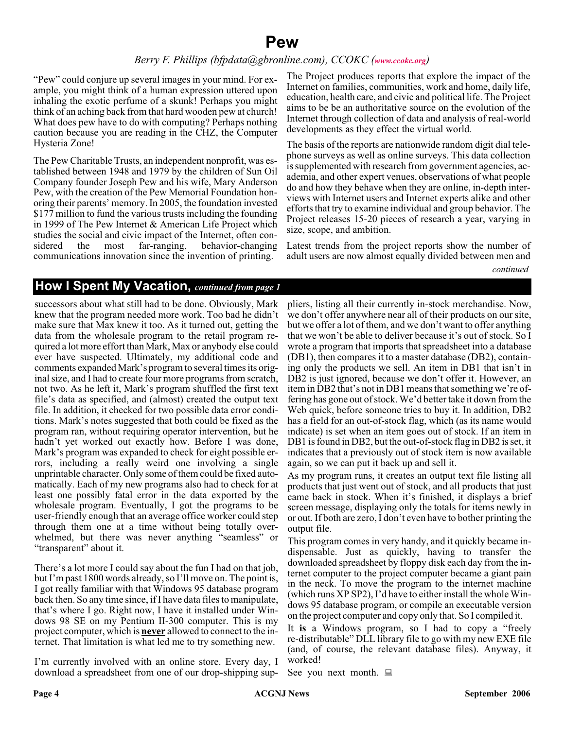## **Pew**

## *Berry F. Phillips (bfpdata@gbronline.com), CCOKC ([www.ccokc.org](http://www.ccokc.org))*

"Pew" could conjure up several images in your mind. For example, you might think of a human expression uttered upon inhaling the exotic perfume of a skunk! Perhaps you might think of an aching back from that hard wooden pew at church! What does pew have to do with computing? Perhaps nothing caution because you are reading in the CHZ, the Computer Hysteria Zone!

The Pew Charitable Trusts, an independent nonprofit, was established between 1948 and 1979 by the children of Sun Oil Company founder Joseph Pew and his wife, Mary Anderson Pew, with the creation of the Pew Memorial Foundation honoring their parents' memory. In 2005, the foundation invested \$177 million to fund the various trusts including the founding in 1999 of The Pew Internet & American Life Project which studies the social and civic impact of the Internet, often considered the most far-ranging, behavior-changing communications innovation since the invention of printing.

The Project produces reports that explore the impact of the Internet on families, communities, work and home, daily life, education, health care, and civic and political life. The Project aims to be be an authoritative source on the evolution of the Internet through collection of data and analysis of real-world developments as they effect the virtual world.

The basis of the reports are nationwide random digit dial telephone surveys as well as online surveys. This data collection is supplemented with research from government agencies, academia, and other expert venues, observations of what people do and how they behave when they are online, in-depth interviews with Internet users and Internet experts alike and other efforts that try to examine individual and group behavior. The Project releases 15-20 pieces of research a year, varying in size, scope, and ambition.

Latest trends from the project reports show the number of adult users are now almost equally divided between men and

#### *continued*

## **How I Spent My Vacation,** *continued from page 1*

successors about what still had to be done. Obviously, Mark knew that the program needed more work. Too bad he didn't make sure that Max knew it too. As it turned out, getting the data from the wholesale program to the retail program required a lot more effort than Mark, Max or anybody else could ever have suspected. Ultimately, my additional code and comments expanded Mark's program to several times its original size, and I had to create four more programs from scratch, not two. As he left it, Mark's program shuffled the first text file's data as specified, and (almost) created the output text file. In addition, it checked for two possible data error conditions. Mark's notes suggested that both could be fixed as the program ran, without requiring operator intervention, but he hadn't yet worked out exactly how. Before I was done, Mark's program was expanded to check for eight possible errors, including a really weird one involving a single unprintable character. Only some of them could be fixed automatically. Each of my new programs also had to check for at least one possibly fatal error in the data exported by the wholesale program. Eventually, I got the programs to be user-friendly enough that an average office worker could step through them one at a time without being totally overwhelmed, but there was never anything "seamless" or "transparent" about it.

There's a lot more I could say about the fun I had on that job, but I'm past 1800 words already, so I'll move on. The point is, I got really familiar with that Windows 95 database program back then. So any time since, if I have data files to manipulate, that's where I go. Right now, I have it installed under Windows 98 SE on my Pentium II-300 computer. This is my project computer, which is **never** allowed to connect to the internet. That limitation is what led me to try something new.

I'm currently involved with an online store. Every day, I download a spreadsheet from one of our drop-shipping sup-

pliers, listing all their currently in-stock merchandise. Now, we don't offer anywhere near all of their products on our site, but we offer a lot of them, and we don't want to offer anything that we won't be able to deliver because it's out of stock. So I wrote a program that imports that spreadsheet into a database (DB1), then compares it to a master database (DB2), containing only the products we sell. An item in DB1 that isn't in DB2 is just ignored, because we don't offer it. However, an item in DB2 that's not in DB1 means that something we're offering has gone out of stock. We'd better take it down from the Web quick, before someone tries to buy it. In addition, DB2 has a field for an out-of-stock flag, which (as its name would indicate) is set when an item goes out of stock. If an item in DB1 is found in DB2, but the out-of-stock flag in DB2 is set, it indicates that a previously out of stock item is now available again, so we can put it back up and sell it.

As my program runs, it creates an output text file listing all products that just went out of stock, and all products that just came back in stock. When it's finished, it displays a brief screen message, displaying only the totals for items newly in or out. If both are zero, I don't even have to bother printing the output file.

This program comes in very handy, and it quickly became indispensable. Just as quickly, having to transfer the downloaded spreadsheet by floppy disk each day from the internet computer to the project computer became a giant pain in the neck. To move the program to the internet machine (which runs XP SP2), I'd have to either install the whole Windows 95 database program, or compile an executable version on the project computer and copy only that. So I compiled it.

It **is** a Windows program, so I had to copy a "freely re-distributable" DLL library file to go with my new EXE file (and, of course, the relevant database files). Anyway, it worked!

See you next month.  $\Box$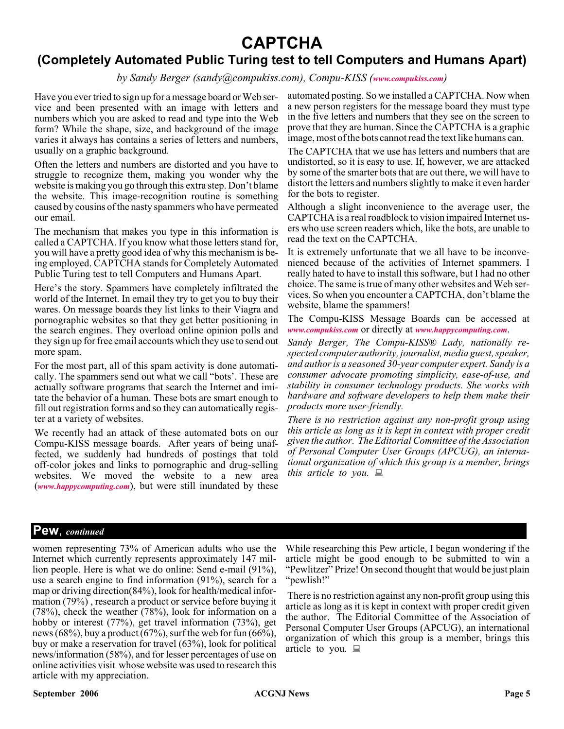## **CAPTCHA**

## **(Completely Automated Public Turing test to tell Computers and Humans Apart)**

*by Sandy Berger (sandy@compukiss.com), Compu-KISS ([www.compukiss.com](http://www.compukiss.com))*

Have you ever tried to sign up for a message board or Web service and been presented with an image with letters and numbers which you are asked to read and type into the Web form? While the shape, size, and background of the image varies it always has contains a series of letters and numbers, usually on a graphic background.

Often the letters and numbers are distorted and you have to struggle to recognize them, making you wonder why the website is making you go through this extra step. Don't blame the website. This image-recognition routine is something caused by cousins of the nasty spammers who have permeated our email.

The mechanism that makes you type in this information is called a CAPTCHA. If you know what those letters stand for, you will have a pretty good idea of why this mechanism is being employed. CAPTCHA stands for Completely Automated Public Turing test to tell Computers and Humans Apart.

Here's the story. Spammers have completely infiltrated the world of the Internet. In email they try to get you to buy their wares. On message boards they list links to their Viagra and pornographic websites so that they get better positioning in the search engines. They overload online opinion polls and they sign up for free email accounts which they use to send out more spam.

For the most part, all of this spam activity is done automatically. The spammers send out what we call "bots'. These are actually software programs that search the Internet and imitate the behavior of a human. These bots are smart enough to fill out registration forms and so they can automatically register at a variety of websites.

We recently had an attack of these automated bots on our Compu-KISS message boards. After years of being unaffected, we suddenly had hundreds of postings that told off-color jokes and links to pornographic and drug-selling websites. We moved the website to a new area (*[www.happycomputing.com](http://www.happycomputing.com)*), but were still inundated by these automated posting. So we installed a CAPTCHA. Now when a new person registers for the message board they must type in the five letters and numbers that they see on the screen to prove that they are human. Since the CAPTCHA is a graphic image, most of the bots cannot read the text like humans can.

The CAPTCHA that we use has letters and numbers that are undistorted, so it is easy to use. If, however, we are attacked by some of the smarter bots that are out there, we will have to distort the letters and numbers slightly to make it even harder for the bots to register.

Although a slight inconvenience to the average user, the CAPTCHA is a real roadblock to vision impaired Internet users who use screen readers which, like the bots, are unable to read the text on the CAPTCHA.

It is extremely unfortunate that we all have to be inconvenienced because of the activities of Internet spammers. I really hated to have to install this software, but I had no other choice. The same is true of many other websites and Web services. So when you encounter a CAPTCHA, don't blame the website, blame the spammers!

The Compu-KISS Message Boards can be accessed at *[www.compukiss.com](http://www.compukiss.com)* or directly at *[www.happycomputing.com](http://www.happycomputing.com)*.

*Sandy Berger, The Compu-KISS® Lady, nationally respected computer authority, journalist, media guest, speaker, and author is a seasoned 30-year computer expert. Sandy is a consumer advocate promoting simplicity, ease-of-use, and stability in consumer technology products. She works with hardware and software developers to help them make their products more user-friendly.*

*There is no restriction against any non-profit group using this article as long as it is kept in context with proper credit given the author. The Editorial Committee of the Association of Personal Computer User Groups (APCUG), an international organization of which this group is a member, brings this article to you.*

### **Pew**, *continued*

women representing 73% of American adults who use the Internet which currently represents approximately 147 million people. Here is what we do online: Send e-mail (91%), use a search engine to find information (91%), search for a map or driving direction(84%), look for health/medical information (79%) , research a product or service before buying it (78%), check the weather (78%), look for information on a hobby or interest (77%), get travel information (73%), get news (68%), buy a product (67%), surf the web for fun (66%), buy or make a reservation for travel (63%), look for political news/information (58%), and for lesser percentages of use on online activities visit whose website was used to research this article with my appreciation.

While researching this Pew article, I began wondering if the article might be good enough to be submitted to win a "Pewlitzer" Prize! On second thought that would be just plain "pewlish!"

There is no restriction against any non-profit group using this article as long as it is kept in context with proper credit given the author. The Editorial Committee of the Association of Personal Computer User Groups (APCUG), an international organization of which this group is a member, brings this article to you.  $\Box$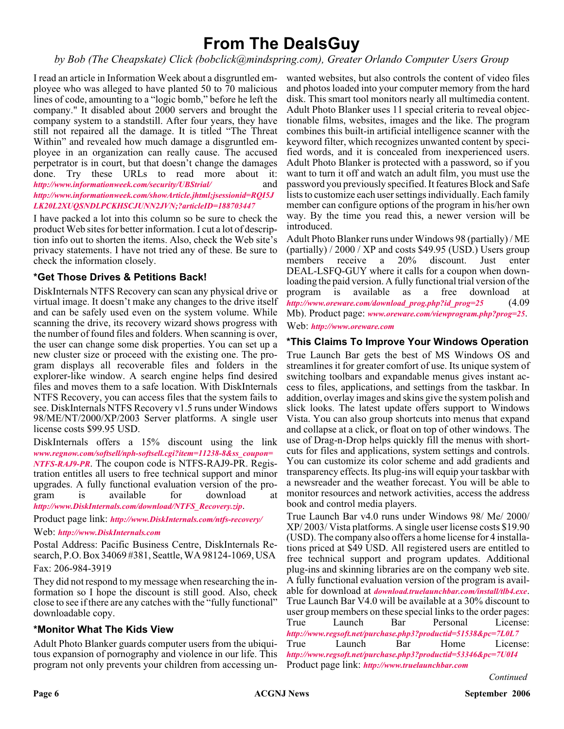## **From The DealsGuy**

*by Bob (The Cheapskate) Click (bobclick@mindspring.com), Greater Orlando Computer Users Group*

I read an article in Information Week about a disgruntled employee who was alleged to have planted 50 to 70 malicious lines of code, amounting to a "logic bomb," before he left the company." It disabled about 2000 servers and brought the company system to a standstill. After four years, they have still not repaired all the damage. It is titled "The Threat Within" and revealed how much damage a disgruntled employee in an organization can really cause. The accused perpetrator is in court, but that doesn't change the damages done. Try these URLs to read more about it: *<http://www.informationweek.com/security/UBStrial/>* and *[http://www.informationweek.com/showArticle.jhtml;jsessionid=RQI5J](http://www.informationweek.com/showArticle.jhtml) LK20L2XUQSNDLPCKHSCJUNN2JVN;?articleID=188703447*

I have packed a lot into this column so be sure to check the product Web sites for better information. I cut a lot of description info out to shorten the items. Also, check the Web site's privacy statements. I have not tried any of these. Be sure to check the information closely.

## **\*Get Those Drives & Petitions Back!**

DiskInternals NTFS Recovery can scan any physical drive or virtual image. It doesn't make any changes to the drive itself and can be safely used even on the system volume. While scanning the drive, its recovery wizard shows progress with the number of found files and folders. When scanning is over, the user can change some disk properties. You can set up a new cluster size or proceed with the existing one. The program displays all recoverable files and folders in the explorer-like window. A search engine helps find desired files and moves them to a safe location. With DiskInternals NTFS Recovery, you can access files that the system fails to see. DiskInternals NTFS Recovery v1.5 runs under Windows 98/ME/NT/2000/XP/2003 Server platforms. A single user license costs \$99.95 USD.

DiskInternals offers a 15% discount using the link *[www.regnow.com/softsell/nph-softsell.cgi?item=11238-8&ss\\_coupon=](https://www.regnow.com/softsell/nph-softsell.cgi?item=11238-8&ss_coupon=NTFS-RAJ9-PR) NTFS-RAJ9-PR*. The coupon code is NTFS-RAJ9-PR. Registration entitles all users to free technical support and minor upgrades. A fully functional evaluation version of the program is available for download at *[http://www.DiskInternals.com/download/NTFS\\_Recovery.zip](http://www.DiskInternals.com/download/NTFS_Recovery.zip)*.

Product page link: *<http://www.DiskInternals.com/ntfs-recovery/>*

#### Web: *<http://www.DiskInternals.com>*

Postal Address: Pacific Business Centre, DiskInternals Research, P.O. Box 34069 #381, Seattle, WA 98124-1069, USA Fax: 206-984-3919

They did not respond to my message when researching the information so I hope the discount is still good. Also, check close to see if there are any catches with the "fully functional" downloadable copy.

### **\*Monitor What The Kids View**

Adult Photo Blanker guards computer users from the ubiquitous expansion of pornography and violence in our life. This program not only prevents your children from accessing unwanted websites, but also controls the content of video files and photos loaded into your computer memory from the hard disk. This smart tool monitors nearly all multimedia content. Adult Photo Blanker uses 11 special criteria to reveal objectionable films, websites, images and the like. The program combines this built-in artificial intelligence scanner with the keyword filter, which recognizes unwanted content by specified words, and it is concealed from inexperienced users. Adult Photo Blanker is protected with a password, so if you want to turn it off and watch an adult film, you must use the password you previously specified. It features Block and Safe lists to customize each user settings individually. Each family member can configure options of the program in his/her own way. By the time you read this, a newer version will be introduced.

Adult Photo Blanker runs under Windows 98 (partially) / ME  $\frac{1}{2000}$  / 2000 / XP and costs \$49.95 (USD.) Users group members receive a 20% discount. Just enter DEAL-LSFQ-GUY where it calls for a coupon when downloading the paid version. A fully functional trial version of the program is available as a free download at *[http://www.oreware.com/download\\_prog.php?id\\_prog=25](http://www.oreware.com/download_prog.php?id_prog=25)* (4.09 Mb). Product page: *[www.oreware.com/viewprogram.php?prog=25](http://www.oreware.com/viewprogram.php?prog=25)*. Web: *<http://www.oreware.com>*

### **\*This Claims To Improve Your Windows Operation**

True Launch Bar gets the best of MS Windows OS and streamlines it for greater comfort of use. Its unique system of switching toolbars and expandable menus gives instant access to files, applications, and settings from the taskbar. In addition, overlay images and skins give the system polish and slick looks. The latest update offers support to Windows Vista. You can also group shortcuts into menus that expand and collapse at a click, or float on top of other windows. The use of Drag-n-Drop helps quickly fill the menus with shortcuts for files and applications, system settings and controls. You can customize its color scheme and add gradients and transparency effects. Its plug-ins will equip your taskbar with a newsreader and the weather forecast. You will be able to monitor resources and network activities, access the address book and control media players.

True Launch Bar v4.0 runs under Windows 98/ Me/ 2000/ XP/ 2003/ Vista platforms. A single user license costs \$19.90 (USD). The company also offers a home license for 4 installations priced at \$49 USD. All registered users are entitled to free technical support and program updates. Additional plug-ins and skinning libraries are on the company web site. A fully functional evaluation version of the program is available for download at *[download.truelaunchbar.com/install/tlb4.exe](http://download.truelaunchbar.com/install/tlb4.exe)*. True Launch Bar V4.0 will be available at a 30% discount to user group members on these special links to the order pages: True Launch Bar Personal License: *<http://www.regsoft.net/purchase.php3?productid=51538&pc=7L0L7>* True Launch Bar Home License: *<http://www.regsoft.net/purchase.php3?productid=53346&pc=7U0I4>* Product page link: *<http://www.truelaunchbar.com>*

*Continued*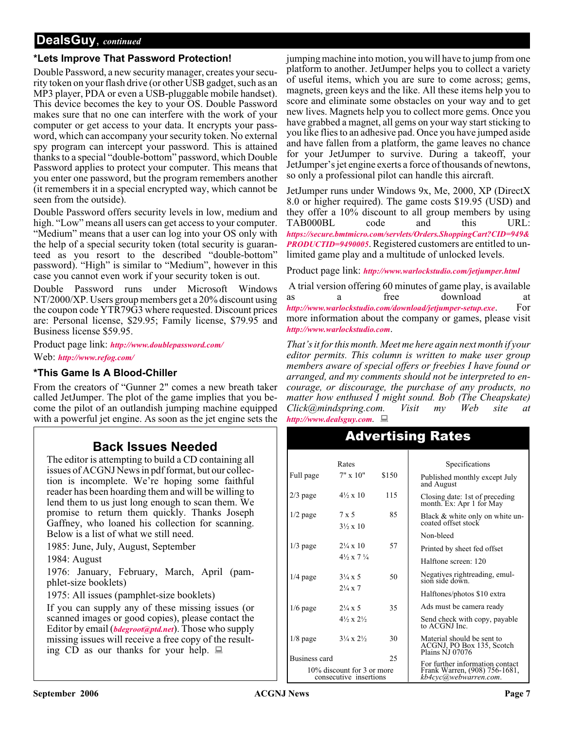## **DealsGuy**, *continued*

## **\*Lets Improve That Password Protection!**

Double Password, a new security manager, creates your security token on your flash drive (or other USB gadget, such as an MP3 player, PDA or even a USB-pluggable mobile handset). This device becomes the key to your OS. Double Password makes sure that no one can interfere with the work of your computer or get access to your data. It encrypts your password, which can accompany your security token. No external spy program can intercept your password. This is attained thanks to a special "double-bottom" password, which Double Password applies to protect your computer. This means that you enter one password, but the program remembers another (it remembers it in a special encrypted way, which cannot be seen from the outside).

Double Password offers security levels in low, medium and high. "Low" means all users can get access to your computer. "Medium" means that a user can log into your OS only with the help of a special security token (total security is guaranteed as you resort to the described "double-bottom" password). "High" is similar to "Medium", however in this case you cannot even work if your security token is out.

Double Password runs under Microsoft Windows NT/2000/XP. Users group members get a 20% discount using the coupon code YTR79G3 where requested. Discount prices are: Personal license, \$29.95; Family license, \$79.95 and Business license \$59.95.

Product page link: *<http://www.doublepassword.com/>*

Web: *[http://www.refog.com/](http://www.refog.com/ )*

### **\*This Game Is A Blood-Chiller**

From the creators of "Gunner 2" comes a new breath taker called JetJumper. The plot of the game implies that you become the pilot of an outlandish jumping machine equipped with a powerful jet engine. As soon as the jet engine sets the

## **Back Issues Needed**

The editor is attempting to build a CD containing all issues of ACGNJ News in pdf format, but our collection is incomplete. We're hoping some faithful reader has been hoarding them and will be willing to lend them to us just long enough to scan them. We promise to return them quickly. Thanks Joseph Gaffney, who loaned his collection for scanning. Below is a list of what we still need.

1985: June, July, August, September

1984: August

1976: January, February, March, April (pamphlet-size booklets)

1975: All issues (pamphlet-size booklets)

If you can supply any of these missing issues (or scanned images or good copies), please contact the Editor by email (*[bdegroot@ptd.net](mailto:bdegroot@ptd.net)*). Those who supply missing issues will receive a free copy of the resulting CD as our thanks for your help.  $\Box$ 

jumping machine into motion, you will have to jump from one platform to another. JetJumper helps you to collect a variety of useful items, which you are sure to come across; gems, magnets, green keys and the like. All these items help you to score and eliminate some obstacles on your way and to get new lives. Magnets help you to collect more gems. Once you have grabbed a magnet, all gems on your way start sticking to you like flies to an adhesive pad. Once you have jumped aside and have fallen from a platform, the game leaves no chance for your JetJumper to survive. During a takeoff, your JetJumper's jet engine exerts a force of thousands of newtons, so only a professional pilot can handle this aircraft.

JetJumper runs under Windows 9x, Me, 2000, XP (DirectX 8.0 or higher required). The game costs \$19.95 (USD) and they offer a 10% discount to all group members by using TAB000BL code and this URL: *[https://secure.bmtmicro.com/servlets/Orders.ShoppingCart?CID=949&](http://) PRODUCTID=9490005*. Registered customers are entitled to unlimited game play and a multitude of unlocked levels.

Product page link: *<http://www.warlockstudio.com/jetjumper.html>*

A trial version offering 60 minutes of game play, is available<br>as  $\alpha$  free download at a free download at *<http://www.warlockstudio.com/download/jetjumper-setup.exe>*. For more information about the company or games, please visit *<http://www.warlockstudio.com>*.

*That's it for this month. Meet me here again next month if your editor permits. This column is written to make user group members aware of special offers or freebies I have found or arranged, and my comments should not be interpreted to encourage, or discourage, the purchase of any products, no matter how enthused I might sound. Bob (The Cheapskate) Click@mindspring.com. Visit my Web site at <http://www.dealsguy.com>.*

|                                                      | Rates                                    |       | Specifications                                                                    |
|------------------------------------------------------|------------------------------------------|-------|-----------------------------------------------------------------------------------|
| Full page                                            | $7" \times 10"$                          | \$150 | Published monthly except July<br>and August                                       |
| $2/3$ page                                           | $4\frac{1}{2} \times 10$                 | 115   | Closing date: 1st of preceding<br>month. Ex: Apr 1 for May                        |
| $1/2$ page                                           | $7 \times 5$<br>$3\frac{1}{2} \times 10$ | 85    | Black & white only on white un-<br>coated offset stock                            |
|                                                      |                                          |       | Non-bleed                                                                         |
| $1/3$ page                                           | $2\frac{1}{4} \times 10$                 | 57    | Printed by sheet fed offset                                                       |
|                                                      | $4\frac{1}{2} \times 7\frac{1}{4}$       |       | Halftone screen: 120                                                              |
| $1/4$ page                                           | $3\frac{1}{4} \times 5$                  | 50    | Negatives rightreading, emul-<br>sion side down.                                  |
|                                                      | $2\frac{1}{4} \times 7$                  |       | Halftones/photos \$10 extra                                                       |
| $1/6$ page                                           | $2\frac{1}{4} \times 5$                  | 35    | Ads must be camera ready                                                          |
|                                                      | $4\frac{1}{2} \times 2\frac{1}{2}$       |       | Send check with copy, payable<br>to ACGNJ Inc.                                    |
| $1/8$ page                                           | $3\frac{1}{4} \times 2\frac{1}{2}$       | 30    | Material should be sent to<br>ACGNJ, PO Box 135, Scotch<br><b>Plains NJ 07076</b> |
| Business card                                        |                                          | 25    | For further information contact                                                   |
| 10% discount for 3 or more<br>consecutive insertions |                                          |       | Frank Warren, (908) 756-1681,<br>kb4cyc@webwarren.com.                            |

## Advertising Rates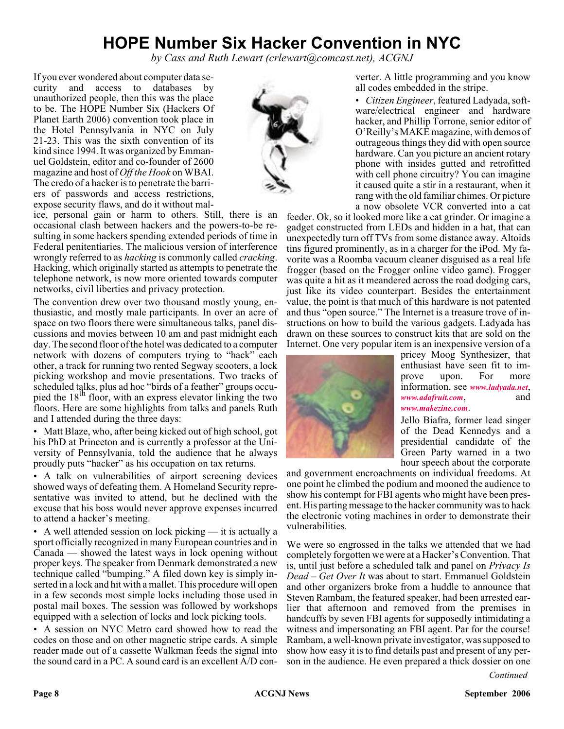## **HOPE Number Six Hacker Convention in NYC**

*by Cass and Ruth Lewart (crlewart@comcast.net), ACGNJ*

If you ever wondered about computer data security and access to databases by unauthorized people, then this was the place to be. The HOPE Number Six (Hackers Of Planet Earth 2006) convention took place in the Hotel Pennsylvania in NYC on July 21-23. This was the sixth convention of its kind since 1994. It was organized by Emmanuel Goldstein, editor and co-founder of 2600 magazine and host of *Off the Hook* on WBAI. The credo of a hacker is to penetrate the barriers of passwords and access restrictions, expose security flaws, and do it without mal-



ice, personal gain or harm to others. Still, there is an occasional clash between hackers and the powers-to-be resulting in some hackers spending extended periods of time in Federal penitentiaries. The malicious version of interference wrongly referred to as *hacking* is commonly called *cracking*. Hacking, which originally started as attempts to penetrate the telephone network, is now more oriented towards computer networks, civil liberties and privacy protection.

The convention drew over two thousand mostly young, enthusiastic, and mostly male participants. In over an acre of space on two floors there were simultaneous talks, panel discussions and movies between 10 am and past midnight each day. The second floor of the hotel was dedicated to a computer network with dozens of computers trying to "hack" each other, a track for running two rented Segway scooters, a lock picking workshop and movie presentations. Two tracks of scheduled talks, plus ad hoc "birds of a feather" groups occupied the  $18<sup>th</sup>$  floor, with an express elevator linking the two floors. Here are some highlights from talks and panels Ruth and I attended during the three days:

• Matt Blaze, who, after being kicked out of high school, got his PhD at Princeton and is currently a professor at the University of Pennsylvania, told the audience that he always proudly puts "hacker" as his occupation on tax returns.

• A talk on vulnerabilities of airport screening devices showed ways of defeating them. A Homeland Security representative was invited to attend, but he declined with the excuse that his boss would never approve expenses incurred to attend a hacker's meeting.

• A well attended session on lock picking — it is actually a sport officially recognized in many European countries and in Canada — showed the latest ways in lock opening without proper keys. The speaker from Denmark demonstrated a new technique called "bumping." A filed down key is simply inserted in a lock and hit with a mallet. This procedure will open in a few seconds most simple locks including those used in postal mail boxes. The session was followed by workshops equipped with a selection of locks and lock picking tools.

• A session on NYC Metro card showed how to read the codes on those and on other magnetic stripe cards. A simple reader made out of a cassette Walkman feeds the signal into the sound card in a PC. A sound card is an excellent A/D converter. A little programming and you know all codes embedded in the stripe.

• *Citizen Engineer*, featured Ladyada, software/electrical engineer and hardware hacker, and Phillip Torrone, senior editor of O'Reilly's MAKE magazine, with demos of outrageous things they did with open source hardware. Can you picture an ancient rotary phone with insides gutted and retrofitted with cell phone circuitry? You can imagine it caused quite a stir in a restaurant, when it rang with the old familiar chimes. Or picture a now obsolete VCR converted into a cat

feeder. Ok, so it looked more like a cat grinder. Or imagine a gadget constructed from LEDs and hidden in a hat, that can unexpectedly turn off TVs from some distance away. Altoids tins figured prominently, as in a charger for the iPod. My favorite was a Roomba vacuum cleaner disguised as a real life frogger (based on the Frogger online video game). Frogger was quite a hit as it meandered across the road dodging cars, just like its video counterpart. Besides the entertainment value, the point is that much of this hardware is not patented and thus "open source." The Internet is a treasure trove of instructions on how to build the various gadgets. Ladyada has drawn on these sources to construct kits that are sold on the Internet. One very popular item is an inexpensive version of a



pricey Moog Synthesizer, that enthusiast have seen fit to improve upon. For more information, see *[www.ladyada.net](http://www.ladyada.net)*, *[www.adafruit.com](http://www.adafruit.com)*, and *[www.makezine.com](http://www.makezine.com)*.

Jello Biafra, former lead singer of the Dead Kennedys and a presidential candidate of the Green Party warned in a two hour speech about the corporate

and government encroachments on individual freedoms. At one point he climbed the podium and mooned the audience to show his contempt for FBI agents who might have been present. His parting message to the hacker community was to hack the electronic voting machines in order to demonstrate their vulnerabilities.

We were so engrossed in the talks we attended that we had completely forgotten we were at a Hacker's Convention. That is, until just before a scheduled talk and panel on *Privacy Is Dead – Get Over It* was about to start. Emmanuel Goldstein and other organizers broke from a huddle to announce that Steven Rambam, the featured speaker, had been arrested earlier that afternoon and removed from the premises in handcuffs by seven FBI agents for supposedly intimidating a witness and impersonating an FBI agent. Par for the course! Rambam, a well-known private investigator, was supposed to show how easy it is to find details past and present of any person in the audience. He even prepared a thick dossier on one

*Continued*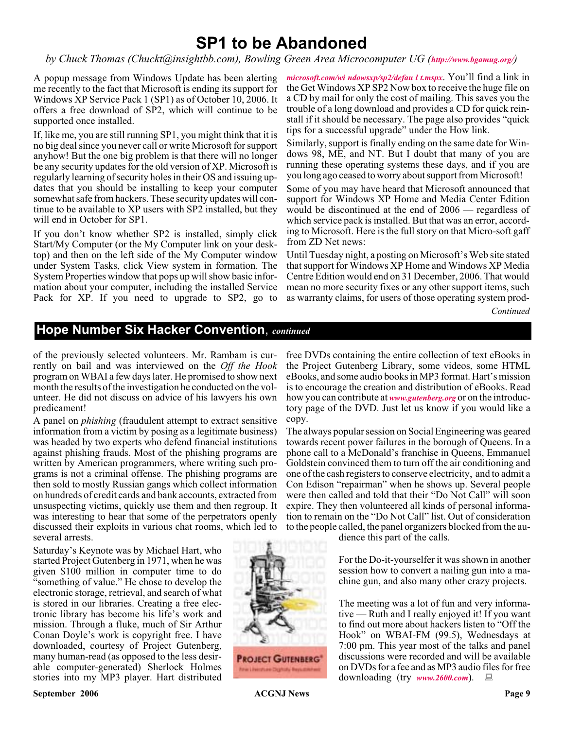## **SP1 to be Abandoned**

*by Chuck Thomas (Chuckt@insightbb.com), Bowling Green Area Microcomputer UG (<http://www.bgamug.org/>)*

A popup message from Windows Update has been alerting me recently to the fact that Microsoft is ending its support for Windows XP Service Pack 1 (SP1) as of October 10, 2006. It offers a free download of SP2, which will continue to be supported once installed.

If, like me, you are still running SP1, you might think that it is no big deal since you never call or write Microsoft for support anyhow! But the one big problem is that there will no longer be any security updates for the old version of XP. Microsoft is regularly learning of security holes in their OS and issuing updates that you should be installing to keep your computer somewhat safe from hackers. These security updates will continue to be available to XP users with SP2 installed, but they will end in October for SP1.

If you don't know whether SP2 is installed, simply click Start/My Computer (or the My Computer link on your desktop) and then on the left side of the My Computer window under System Tasks, click View system in formation. The System Properties window that pops up will show basic information about your computer, including the installed Service Pack for XP. If you need to upgrade to SP2, go to

*[microsoft.com/wi ndowsxp/sp2/defau l t.mspx](http://www.m icrosoft.com/wi ndowsxp/sp2/defau l t.mspx)*. You'll find a link in the Get Windows XP SP2 Now box to receive the huge file on a CD by mail for only the cost of mailing. This saves you the trouble of a long download and provides a CD for quick reinstall if it should be necessary. The page also provides "quick tips for a successful upgrade" under the How link.

Similarly, support is finally ending on the same date for Windows 98, ME, and NT. But I doubt that many of you are running these operating systems these days, and if you are you long ago ceased to worry about support from Microsoft!

Some of you may have heard that Microsoft announced that support for Windows XP Home and Media Center Edition would be discontinued at the end of 2006 — regardless of which service pack is installed. But that was an error, according to Microsoft. Here is the full story on that Micro-soft gaff from ZD Net news:

Until Tuesday night, a posting on Microsoft's Web site stated that support for Windows XP Home and Windows XP Media Centre Edition would end on 31 December, 2006. That would mean no more security fixes or any other support items, such as warranty claims, for users of those operating system prod-

*Continued*

## **Hope Number Six Hacker Convention**, *continued*

of the previously selected volunteers. Mr. Rambam is currently on bail and was interviewed on the *Off the Hook* program on WBAI a few days later. He promised to show next month the results of the investigation he conducted on the volunteer. He did not discuss on advice of his lawyers his own predicament!

A panel on *phishing* (fraudulent attempt to extract sensitive information from a victim by posing as a legitimate business) was headed by two experts who defend financial institutions against phishing frauds. Most of the phishing programs are written by American programmers, where writing such programs is not a criminal offense. The phishing programs are then sold to mostly Russian gangs which collect information on hundreds of credit cards and bank accounts, extracted from unsuspecting victims, quickly use them and then regroup. It was interesting to hear that some of the perpetrators openly discussed their exploits in various chat rooms, which led to several arrests.

Saturday's Keynote was by Michael Hart, who started Project Gutenberg in 1971, when he was given \$100 million in computer time to do "something of value." He chose to develop the electronic storage, retrieval, and search of what is stored in our libraries. Creating a free electronic library has become his life's work and mission. Through a fluke, much of Sir Arthur Conan Doyle's work is copyright free. I have downloaded, courtesy of Project Gutenberg, many human-read (as opposed to the less desirable computer-generated) Sherlock Holmes stories into my MP3 player. Hart distributed

free DVDs containing the entire collection of text eBooks in the Project Gutenberg Library, some videos, some HTML eBooks, and some audio books in MP3 format. Hart's mission is to encourage the creation and distribution of eBooks. Read how you can contribute at *[www.gutenberg.org](http://www.gutenberg.org)* or on the introductory page of the DVD. Just let us know if you would like a copy.

The always popular session on Social Engineering was geared towards recent power failures in the borough of Queens. In a phone call to a McDonald's franchise in Queens, Emmanuel Goldstein convinced them to turn off the air conditioning and one of the cash registers to conserve electricity, and to admit a Con Edison "repairman" when he shows up. Several people were then called and told that their "Do Not Call" will soon expire. They then volunteered all kinds of personal information to remain on the "Do Not Call" list. Out of consideration to the people called, the panel organizers blocked from the au-

dience this part of the calls.

For the Do-it-yourselfer it was shown in another session how to convert a nailing gun into a machine gun, and also many other crazy projects.

The meeting was a lot of fun and very informative — Ruth and I really enjoyed it! If you want to find out more about hackers listen to "Off the Hook" on WBAI-FM (99.5), Wednesdays at 7:00 pm. This year most of the talks and panel discussions were recorded and will be available on DVDs for a fee and as MP3 audio files for free downloading (try *[www.2600.com](http://www.2600.com)*).

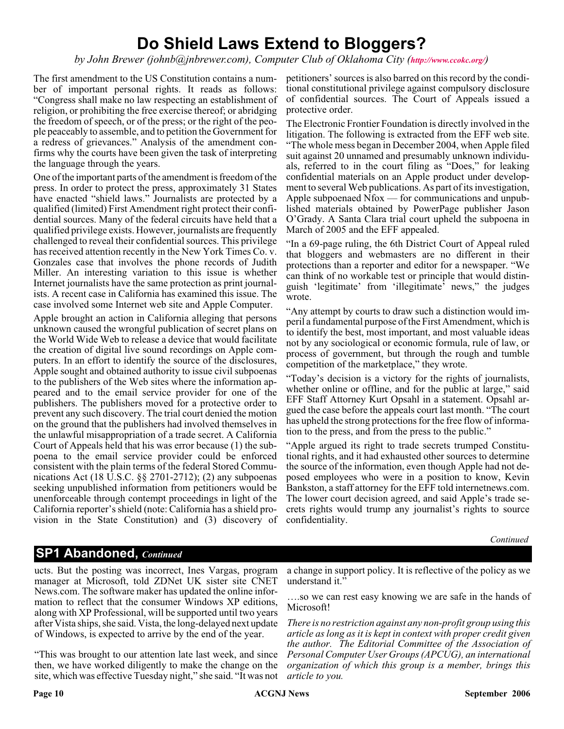## **Do Shield Laws Extend to Bloggers?**

*by John Brewer (johnb@jnbrewer.com), Computer Club of Oklahoma City (<http://www.ccokc.org/>)*

The first amendment to the US Constitution contains a number of important personal rights. It reads as follows: "Congress shall make no law respecting an establishment of religion, or prohibiting the free exercise thereof; or abridging the freedom of speech, or of the press; or the right of the people peaceably to assemble, and to petition the Government for a redress of grievances." Analysis of the amendment confirms why the courts have been given the task of interpreting the language through the years.

One of the important parts of the amendment is freedom of the press. In order to protect the press, approximately 31 States have enacted "shield laws." Journalists are protected by a qualified (limited) First Amendment right protect their confidential sources. Many of the federal circuits have held that a qualified privilege exists. However, journalists are frequently challenged to reveal their confidential sources. This privilege has received attention recently in the New York Times Co. v. Gonzales case that involves the phone records of Judith Miller. An interesting variation to this issue is whether Internet journalists have the same protection as print journalists. A recent case in California has examined this issue. The case involved some Internet web site and Apple Computer.

Apple brought an action in California alleging that persons unknown caused the wrongful publication of secret plans on the World Wide Web to release a device that would facilitate the creation of digital live sound recordings on Apple computers. In an effort to identify the source of the disclosures, Apple sought and obtained authority to issue civil subpoenas to the publishers of the Web sites where the information appeared and to the email service provider for one of the publishers. The publishers moved for a protective order to prevent any such discovery. The trial court denied the motion on the ground that the publishers had involved themselves in the unlawful misappropriation of a trade secret. A California Court of Appeals held that his was error because (1) the subpoena to the email service provider could be enforced consistent with the plain terms of the federal Stored Communications Act (18 U.S.C. §§ 2701-2712); (2) any subpoenas seeking unpublished information from petitioners would be unenforceable through contempt proceedings in light of the California reporter's shield (note: California has a shield provision in the State Constitution) and (3) discovery of confidentiality.

petitioners' sources is also barred on this record by the conditional constitutional privilege against compulsory disclosure of confidential sources. The Court of Appeals issued a protective order.

The Electronic Frontier Foundation is directly involved in the litigation. The following is extracted from the EFF web site.

"The whole mess began in December 2004, when Apple filed suit against 20 unnamed and presumably unknown individuals, referred to in the court filing as "Does," for leaking confidential materials on an Apple product under development to several Web publications. As part of its investigation, Apple subpoenaed Nfox — for communications and unpublished materials obtained by PowerPage publisher Jason O'Grady. A Santa Clara trial court upheld the subpoena in March of 2005 and the EFF appealed.

"In a 69-page ruling, the 6th District Court of Appeal ruled that bloggers and webmasters are no different in their protections than a reporter and editor for a newspaper. "We can think of no workable test or principle that would distinguish 'legitimate' from 'illegitimate' news," the judges wrote.

"Any attempt by courts to draw such a distinction would imperil a fundamental purpose of the First Amendment, which is to identify the best, most important, and most valuable ideas not by any sociological or economic formula, rule of law, or process of government, but through the rough and tumble competition of the marketplace," they wrote.

"Today's decision is a victory for the rights of journalists, whether online or offline, and for the public at large," said EFF Staff Attorney Kurt Opsahl in a statement. Opsahl argued the case before the appeals court last month. "The court has upheld the strong protections for the free flow of information to the press, and from the press to the public."

"Apple argued its right to trade secrets trumped Constitutional rights, and it had exhausted other sources to determine the source of the information, even though Apple had not deposed employees who were in a position to know, Kevin Bankston, a staff attorney for the EFF told internetnews.com. The lower court decision agreed, and said Apple's trade secrets rights would trump any journalist's rights to source

*Continued*

## **SP1 Abandoned,** *Continued*

ucts. But the posting was incorrect, Ines Vargas, program manager at Microsoft, told ZDNet UK sister site CNET News.com. The software maker has updated the online information to reflect that the consumer Windows XP editions, along with XP Professional, will be supported until two years after Vista ships, she said. Vista, the long-delayed next update of Windows, is expected to arrive by the end of the year.

"This was brought to our attention late last week, and since then, we have worked diligently to make the change on the site, which was effective Tuesday night," she said. "It was not

a change in support policy. It is reflective of the policy as we understand it.'

….so we can rest easy knowing we are safe in the hands of Microsoft!

*There is no restriction against any non-profit group using this article as long as it is kept in context with proper credit given the author. The Editorial Committee of the Association of Personal Computer User Groups (APCUG), an international organization of which this group is a member, brings this article to you.*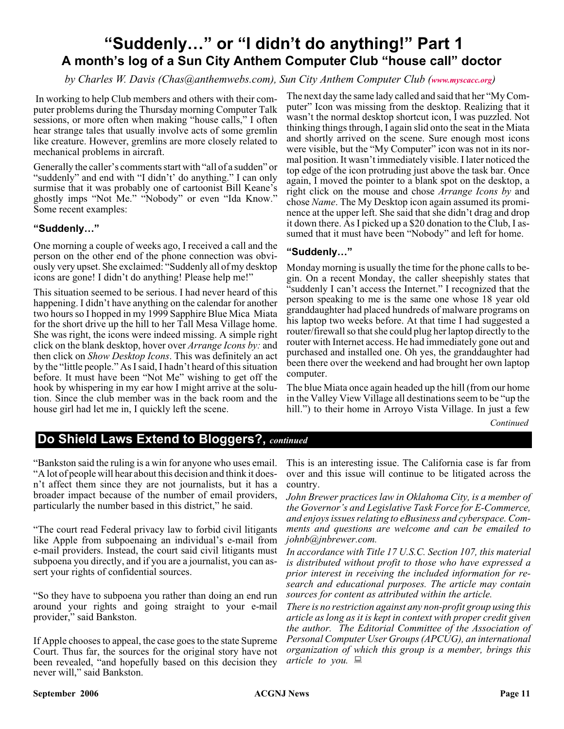## **"Suddenly…" or "I didn't do anything!" Part 1 A month's log of a Sun City Anthem Computer Club "house call" doctor**

*by Charles W. Davis (Chas@anthemwebs.com), Sun City Anthem Computer Club ([www.myscacc.org](http://www.myscacc.org))*

In working to help Club members and others with their computer problems during the Thursday morning Computer Talk sessions, or more often when making "house calls," I often hear strange tales that usually involve acts of some gremlin like creature. However, gremlins are more closely related to mechanical problems in aircraft.

Generally the caller's comments start with "all of a sudden" or "suddenly" and end with "I didn't' do anything." I can only surmise that it was probably one of cartoonist Bill Keane's ghostly imps "Not Me." "Nobody" or even "Ida Know." Some recent examples:

#### **"Suddenly…"**

One morning a couple of weeks ago, I received a call and the person on the other end of the phone connection was obviously very upset. She exclaimed: "Suddenly all of my desktop icons are gone! I didn't do anything! Please help me!"

This situation seemed to be serious. I had never heard of this happening. I didn't have anything on the calendar for another two hours so I hopped in my 1999 Sapphire Blue Mica Miata for the short drive up the hill to her Tall Mesa Village home. She was right, the icons were indeed missing. A simple right click on the blank desktop, hover over *Arrange Icons by:* and then click on *Show Desktop Icons*. This was definitely an act by the "little people." As I said, I hadn't heard of this situation before. It must have been "Not Me" wishing to get off the hook by whispering in my ear how I might arrive at the solution. Since the club member was in the back room and the house girl had let me in, I quickly left the scene.

The next day the same lady called and said that her "My Computer" Icon was missing from the desktop. Realizing that it wasn't the normal desktop shortcut icon, I was puzzled. Not thinking things through, I again slid onto the seat in the Miata and shortly arrived on the scene. Sure enough most icons were visible, but the "My Computer" icon was not in its normal position. It wasn't immediately visible. I later noticed the top edge of the icon protruding just above the task bar. Once again, I moved the pointer to a blank spot on the desktop, a right click on the mouse and chose *Arrange Icons by* and chose *Name*. The My Desktop icon again assumed its prominence at the upper left. She said that she didn't drag and drop it down there. As I picked up a \$20 donation to the Club, I assumed that it must have been "Nobody" and left for home.

### **"Suddenly…"**

Monday morning is usually the time for the phone calls to begin. On a recent Monday, the caller sheepishly states that "suddenly I can't access the Internet." I recognized that the person speaking to me is the same one whose 18 year old granddaughter had placed hundreds of malware programs on his laptop two weeks before. At that time I had suggested a router/firewall so that she could plug her laptop directly to the router with Internet access. He had immediately gone out and purchased and installed one. Oh yes, the granddaughter had been there over the weekend and had brought her own laptop computer.

The blue Miata once again headed up the hill (from our home in the Valley View Village all destinations seem to be "up the hill.") to their home in Arroyo Vista Village. In just a few

*Continued*

## **Do Shield Laws Extend to Bloggers?,** *continued*

"Bankston said the ruling is a win for anyone who uses email. "A lot of people will hear about this decision and think it doesn't affect them since they are not journalists, but it has a broader impact because of the number of email providers, particularly the number based in this district," he said.

"The court read Federal privacy law to forbid civil litigants like Apple from subpoenaing an individual's e-mail from e-mail providers. Instead, the court said civil litigants must subpoena you directly, and if you are a journalist, you can assert your rights of confidential sources.

"So they have to subpoena you rather than doing an end run around your rights and going straight to your e-mail provider," said Bankston.

If Apple chooses to appeal, the case goes to the state Supreme Court. Thus far, the sources for the original story have not been revealed, "and hopefully based on this decision they never will," said Bankston.

This is an interesting issue. The California case is far from over and this issue will continue to be litigated across the country.

*John Brewer practices law in Oklahoma City, is a member of the Governor's and Legislative Task Force for E-Commerce, and enjoys issues relating to eBusiness and cyberspace. Comments and questions are welcome and can be emailed to johnb@jnbrewer.com.*

*In accordance with Title 17 U.S.C. Section 107, this material is distributed without profit to those who have expressed a prior interest in receiving the included information for research and educational purposes. The article may contain sources for content as attributed within the article.*

*There is no restriction against any non-profit group using this article as long as it is kept in context with proper credit given the author. The Editorial Committee of the Association of Personal Computer User Groups (APCUG), an international organization of which this group is a member, brings this article to you.*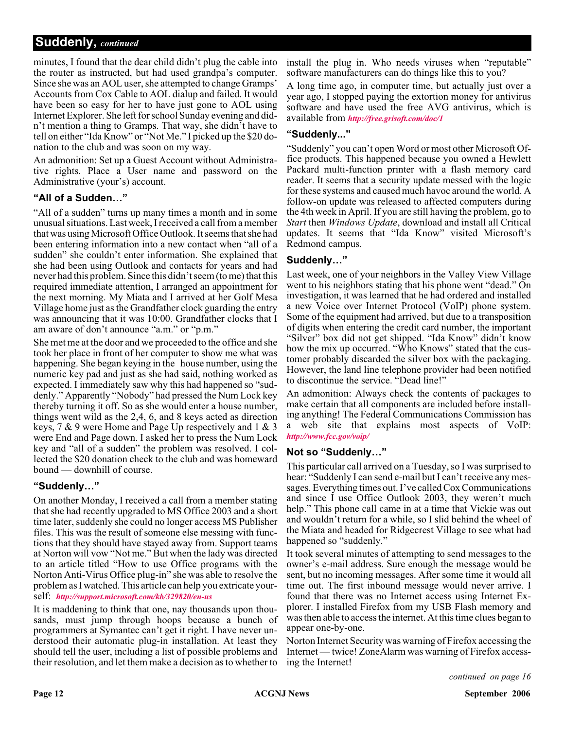## **Suddenly,** *continued*

minutes, I found that the dear child didn't plug the cable into the router as instructed, but had used grandpa's computer. Since she was an AOL user, she attempted to change Gramps' Accounts from Cox Cable to AOL dialup and failed. It would have been so easy for her to have just gone to AOL using Internet Explorer. She left for school Sunday evening and didn't mention a thing to Gramps. That way, she didn't have to tell on either "Ida Know" or "Not Me." I picked up the \$20 donation to the club and was soon on my way.

An admonition: Set up a Guest Account without Administrative rights. Place a User name and password on the Administrative (your's) account.

## **"All of a Sudden…"**

"All of a sudden" turns up many times a month and in some unusual situations. Last week, I received a call from a member that was using Microsoft Office Outlook. It seems that she had been entering information into a new contact when "all of a sudden" she couldn't enter information. She explained that she had been using Outlook and contacts for years and had never had this problem. Since this didn't seem (to me) that this required immediate attention, I arranged an appointment for the next morning. My Miata and I arrived at her Golf Mesa Village home just as the Grandfather clock guarding the entry was announcing that it was 10:00. Grandfather clocks that I am aware of don't announce "a.m." or "p.m."

She met me at the door and we proceeded to the office and she took her place in front of her computer to show me what was happening. She began keying in the house number, using the numeric key pad and just as she had said, nothing worked as expected. I immediately saw why this had happened so "suddenly." Apparently "Nobody" had pressed the Num Lock key thereby turning it off. So as she would enter a house number, things went wild as the 2,4, 6, and 8 keys acted as direction keys, 7 & 9 were Home and Page Up respectively and 1 & 3 were End and Page down. I asked her to press the Num Lock key and "all of a sudden" the problem was resolved. I collected the \$20 donation check to the club and was homeward bound — downhill of course.

## **"Suddenly…"**

On another Monday, I received a call from a member stating that she had recently upgraded to MS Office 2003 and a short time later, suddenly she could no longer access MS Publisher files. This was the result of someone else messing with functions that they should have stayed away from. Support teams at Norton will vow "Not me." But when the lady was directed to an article titled "How to use Office programs with the Norton Anti-Virus Office plug-in" she was able to resolve the problem as I watched. This article can help you extricate yourself: *<http://support.microsoft.com/kb/329820/en-us>*

It is maddening to think that one, nay thousands upon thousands, must jump through hoops because a bunch of programmers at Symantec can't get it right. I have never understood their automatic plug-in installation. At least they should tell the user, including a list of possible problems and their resolution, and let them make a decision as to whether to

install the plug in. Who needs viruses when "reputable" software manufacturers can do things like this to you?

A long time ago, in computer time, but actually just over a year ago, I stopped paying the extortion money for antivirus software and have used the free AVG antivirus, which is available from *<http://free.grisoft.com/doc/1>*

## **"Suddenly..."**

"Suddenly" you can't open Word or most other Microsoft Office products. This happened because you owned a Hewlett Packard multi-function printer with a flash memory card reader. It seems that a security update messed with the logic for these systems and caused much havoc around the world. A follow-on update was released to affected computers during the 4th week in April. If you are still having the problem, go to *Start* then *Windows Update*, download and install all Critical updates. It seems that "Ida Know" visited Microsoft's Redmond campus.

## **Suddenly…"**

Last week, one of your neighbors in the Valley View Village went to his neighbors stating that his phone went "dead." On investigation, it was learned that he had ordered and installed a new Voice over Internet Protocol (VoIP) phone system. Some of the equipment had arrived, but due to a transposition of digits when entering the credit card number, the important "Silver" box did not get shipped. "Ida Know" didn't know how the mix up occurred. "Who Knows" stated that the customer probably discarded the silver box with the packaging. However, the land line telephone provider had been notified to discontinue the service. "Dead line!"

An admonition: Always check the contents of packages to make certain that all components are included before installing anything! The Federal Communications Commission has a web site that explains most aspects of VoIP: *<http://www.fcc.gov/voip/>*

### **Not so "Suddenly…"**

This particular call arrived on a Tuesday, so I was surprised to hear: "Suddenly I can send e-mail but I can't receive any messages. Everything times out. I've called Cox Communications and since I use Office Outlook 2003, they weren't much help." This phone call came in at a time that Vickie was out and wouldn't return for a while, so I slid behind the wheel of the Miata and headed for Ridgecrest Village to see what had happened so "suddenly."

It took several minutes of attempting to send messages to the owner's e-mail address. Sure enough the message would be sent, but no incoming messages. After some time it would all time out. The first inbound message would never arrive. I found that there was no Internet access using Internet Explorer. I installed Firefox from my USB Flash memory and was then able to access the internet. At this time clues began to appear one-by-one.

Norton Internet Security was warning of Firefox accessing the Internet — twice! ZoneAlarm was warning of Firefox accessing the Internet!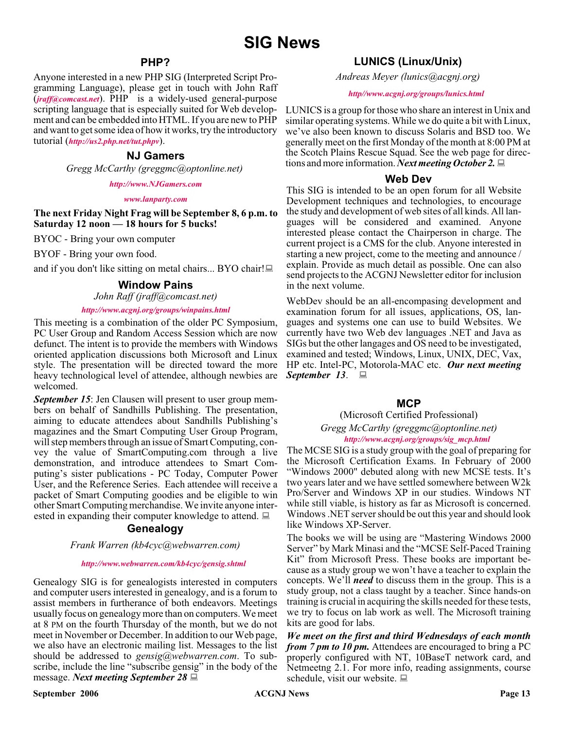## **PHP?**

Anyone interested in a new PHP SIG (Interpreted Script Programming Language), please get in touch with John Raff (*[jraff@comcast.net](mailto:jraff@comcast.net)*). PHP is a widely-used general-purpose scripting language that is especially suited for Web development and can be embedded into HTML. If you are new to PHP and want to get some idea of how it works, try the introductory tutorial (*<http://us2.php.net/tut.phpv>*).

#### **NJ Gamers**

*Gregg McCarthy (greggmc@optonline.net)*

*<http://www.NJGamers.com>*

#### *[www.lanparty.com](http://www.lanparty.com)*

**The next Friday Night Frag will be September 8, 6 p.m. to Saturday 12 noon — 18 hours for 5 bucks!**

BYOC - Bring your own computer

BYOF - Bring your own food.

and if you don't like sitting on metal chairs... BYO chair!

#### **Window Pains**

*John Raff (jraff@comcast.net)*

#### *<http://www.acgnj.org/groups/winpains.html>*

This meeting is a combination of the older PC Symposium, PC User Group and Random Access Session which are now defunct. The intent is to provide the members with Windows oriented application discussions both Microsoft and Linux style. The presentation will be directed toward the more heavy technological level of attendee, although newbies are welcomed.

*September 15*: Jen Clausen will present to user group members on behalf of Sandhills Publishing. The presentation, aiming to educate attendees about Sandhills Publishing's magazines and the Smart Computing User Group Program, will step members through an issue of Smart Computing, convey the value of SmartComputing.com through a live demonstration, and introduce attendees to Smart Computing's sister publications - PC Today, Computer Power User, and the Reference Series. Each attendee will receive a packet of Smart Computing goodies and be eligible to win other Smart Computing merchandise. We invite anyone interested in expanding their computer knowledge to attend.  $\Box$ 

#### **Genealogy**

#### *Frank Warren (kb4cyc@webwarren.com)*

#### *<http://www.webwarren.com/kb4cyc/gensig.shtml>*

Genealogy SIG is for genealogists interested in computers and computer users interested in genealogy, and is a forum to assist members in furtherance of both endeavors. Meetings usually focus on genealogy more than on computers. We meet at 8 PM on the fourth Thursday of the month, but we do not meet in November or December. In addition to our Web page, we also have an electronic mailing list. Messages to the list should be addressed to *gensig@webwarren.com*. To subscribe, include the line "subscribe gensig" in the body of the message. *Next meeting September 28*

## **LUNICS (Linux/Unix)**

*Andreas Meyer (lunics@acgnj.org)*

#### *<http//www.acgnj.org/groups/lunics.html>*

LUNICS is a group for those who share an interest in Unix and similar operating systems. While we do quite a bit with Linux, we've also been known to discuss Solaris and BSD too. We generally meet on the first Monday of the month at 8:00 PM at the Scotch Plains Rescue Squad. See the web page for directions and more information. *Next meeting October 2.*

#### **Web Dev**

This SIG is intended to be an open forum for all Website Development techniques and technologies, to encourage the study and development of web sites of all kinds. All languages will be considered and examined. Anyone interested please contact the Chairperson in charge. The current project is a CMS for the club. Anyone interested in starting a new project, come to the meeting and announce / explain. Provide as much detail as possible. One can also send projects to the ACGNJ Newsletter editor for inclusion in the next volume.

WebDev should be an all-encompasing development and examination forum for all issues, applications, OS, languages and systems one can use to build Websites. We currently have two Web dev languages .NET and Java as SIGs but the other langages and OS need to be investigated, examined and tested; Windows, Linux, UNIX, DEC, Vax, HP etc. Intel-PC, Motorola-MAC etc. *Our next meeting September 13*.

#### **MCP**

#### (Microsoft Certified Professional)

*Gregg McCarthy (greggmc@optonline.net) [http://www.acgnj.org/groups/sig\\_mcp.html](http://www.acgnj.org/groups/sig_mcp.html)*

The MCSE SIG is a study group with the goal of preparing for the Microsoft Certification Exams. In February of 2000 "Windows 2000" debuted along with new MCSE tests. It's two years later and we have settled somewhere between W2k Pro/Server and Windows XP in our studies. Windows NT while still viable, is history as far as Microsoft is concerned. Windows .NET server should be out this year and should look like Windows XP-Server.

The books we will be using are "Mastering Windows 2000 Server" by Mark Minasi and the "MCSE Self-Paced Training Kit" from Microsoft Press. These books are important because as a study group we won't have a teacher to explain the concepts. We'll *need* to discuss them in the group. This is a study group, not a class taught by a teacher. Since hands-on training is crucial in acquiring the skills needed for these tests, we try to focus on lab work as well. The Microsoft training kits are good for labs.

*We meet on the first and third Wednesdays of each month from 7 pm to 10 pm.* Attendees are encouraged to bring a PC properly configured with NT, 10BaseT network card, and Netmeetng 2.1. For more info, reading assignments, course schedule, visit our website.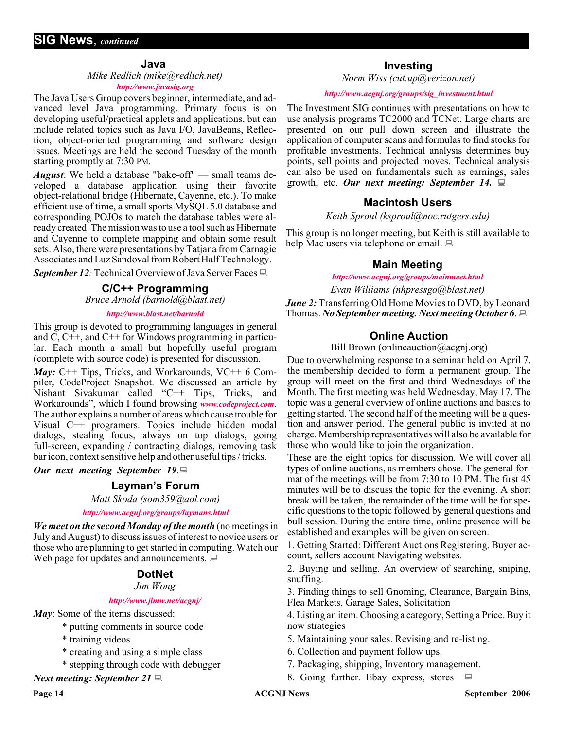#### **Java**

#### *Mike Redlich (mike@redlich.net)*

#### *<http://www.javasig.org>*

The Java Users Group covers beginner, intermediate, and advanced level Java programming. Primary focus is on developing useful/practical applets and applications, but can include related topics such as Java I/O, JavaBeans, Reflection, object-oriented programming and software design issues. Meetings are held the second Tuesday of the month starting promptly at 7:30 PM.

*August*: We held a database "bake-off" — small teams developed a database application using their favorite object-relational bridge (Hibernate, Cayenne, etc.). To make efficient use of time, a small sports MySQL 5.0 database and corresponding POJOs to match the database tables were already created. The mission was to use a tool such as Hibernate and Cayenne to complete mapping and obtain some result sets. Also, there were presentations by Tatjana from Carnagie Associates and Luz Sandoval from Robert Half Technology.

*September 12:* Technical Overview of Java Server Faces  $\Box$ 

### **C/C++ Programming**

*Bruce Arnold (barnold@blast.net)*

#### *<http://www.blast.net/barnold>*

This group is devoted to programming languages in general and C, C++, and C++ for Windows programming in particular. Each month a small but hopefully useful program (complete with source code) is presented for discussion.

*May:* C<sup>++</sup> Tips, Tricks, and Workarounds, VC<sup>++</sup> 6 Compiler*,* CodeProject Snapshot. We discussed an article by Nishant Sivakumar called "C++ Tips, Tricks, and Workarounds", which I found browsing *[www.codeproject.com](http://www.codeproject.com)*. The author explains a number of areas which cause trouble for Visual C++ programers. Topics include hidden modal dialogs, stealing focus, always on top dialogs, going full-screen, expanding / contracting dialogs, removing task bar icon, context sensitive help and other useful tips / tricks.

#### *Our next meeting September 19*.

### **Layman's Forum**

*Matt Skoda (som359@aol.com)*

*<http://www.acgnj.org/groups/laymans.html>*

*We meet on the second Monday of the month* (no meetings in July and August) to discuss issues of interest to novice users or those who are planning to get started in computing. Watch our Web page for updates and announcements.  $\Box$ 

### **DotNet**

*Jim Wong*

#### *<http://www.jimw.net/acgnj/>*

*May*: Some of the items discussed:

- \* putting comments in source code
- \* training videos
- \* creating and using a simple class
- \* stepping through code with debugger

#### *Next meeting: September 21*

### **Investing**

*Norm Wiss (cut.up@verizon.net)*

#### *[http://www.acgnj.org/groups/sig\\_investment.html](http://www.acgnj.org/groups/sig_investment.html)*

The Investment SIG continues with presentations on how to use analysis programs TC2000 and TCNet. Large charts are presented on our pull down screen and illustrate the application of computer scans and formulas to find stocks for profitable investments. Technical analysis determines buy points, sell points and projected moves. Technical analysis can also be used on fundamentals such as earnings, sales growth, etc. *Our next meeting: September 14.*

## **Macintosh Users**

*Keith Sproul (ksproul@noc.rutgers.edu)*

This group is no longer meeting, but Keith is still available to help Mac users via telephone or email.  $\Box$ 

## **Main Meeting**

*<http://www.acgnj.org/groups/mainmeet.html> Evan Williams (nhpressgo@blast.net)*

*June 2:* Transferring Old Home Movies to DVD, by Leonard Thomas. *No September meeting. Next meeting October 6*.

### **Online Auction**

Bill Brown (onlineauction@acgnj.org)

Due to overwhelming response to a seminar held on April 7, the membership decided to form a permanent group. The group will meet on the first and third Wednesdays of the Month. The first meeting was held Wednesday, May 17. The topic was a general overview of online auctions and basics to getting started. The second half of the meeting will be a question and answer period. The general public is invited at no charge. Membership representatives will also be available for those who would like to join the organization.

These are the eight topics for discussion. We will cover all types of online auctions, as members chose. The general format of the meetings will be from 7:30 to 10 PM. The first 45 minutes will be to discuss the topic for the evening. A short break will be taken, the remainder of the time will be for specific questions to the topic followed by general questions and bull session. During the entire time, online presence will be established and examples will be given on screen.

1. Getting Started: Different Auctions Registering. Buyer account, sellers account Navigating websites.

2. Buying and selling. An overview of searching, sniping, snuffing.

3. Finding things to sell Gnoming, Clearance, Bargain Bins, Flea Markets, Garage Sales, Solicitation

4. Listing an item. Choosing a category, Setting a Price. Buy it now strategies

- 5. Maintaining your sales. Revising and re-listing.
- 6. Collection and payment follow ups.
- 7. Packaging, shipping, Inventory management.
- 8. Going further. Ebay express, stores  $\Box$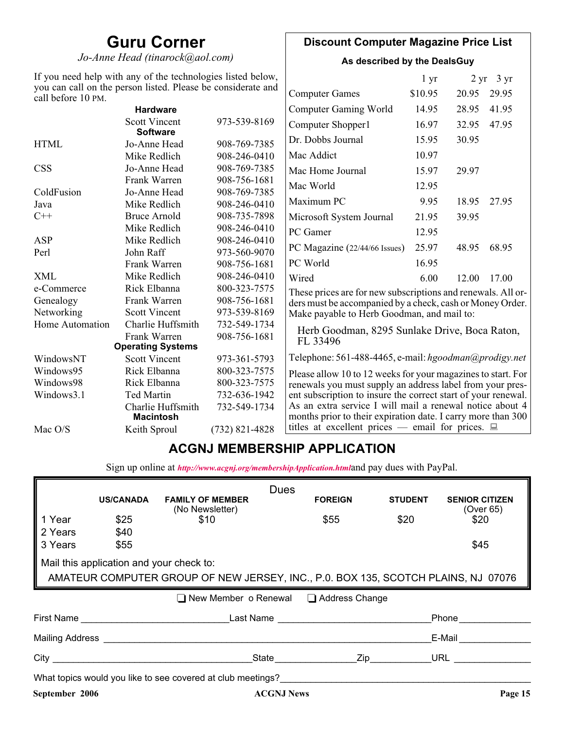## **Guru Corner**

*Jo-Anne Head (tinarock@aol.com)*

## **Discount Computer Magazine Price List**

**As described by the DealsGuy**

| If you need help with any of the technologies listed below,                        |                                         |                                                                                                                           | $1 \, yr$                                                                                                                |         | $2 \text{ yr}$ 3 yr |       |
|------------------------------------------------------------------------------------|-----------------------------------------|---------------------------------------------------------------------------------------------------------------------------|--------------------------------------------------------------------------------------------------------------------------|---------|---------------------|-------|
| you can call on the person listed. Please be considerate and<br>call before 10 PM. |                                         |                                                                                                                           | <b>Computer Games</b>                                                                                                    | \$10.95 | 20.95               | 29.95 |
|                                                                                    | <b>Hardware</b>                         |                                                                                                                           | <b>Computer Gaming World</b>                                                                                             | 14.95   | 28.95               | 41.95 |
|                                                                                    | <b>Scott Vincent</b><br><b>Software</b> | 973-539-8169                                                                                                              | Computer Shopper1                                                                                                        | 16.97   | 32.95               | 47.95 |
| <b>HTML</b>                                                                        | Jo-Anne Head                            | 908-769-7385                                                                                                              | Dr. Dobbs Journal                                                                                                        | 15.95   | 30.95               |       |
|                                                                                    | Mike Redlich                            | 908-246-0410                                                                                                              | Mac Addict                                                                                                               | 10.97   |                     |       |
| <b>CSS</b>                                                                         | Jo-Anne Head                            | 908-769-7385                                                                                                              | Mac Home Journal                                                                                                         | 15.97   | 29.97               |       |
|                                                                                    | Frank Warren                            | 908-756-1681                                                                                                              | Mac World                                                                                                                | 12.95   |                     |       |
| ColdFusion                                                                         | Jo-Anne Head                            | 908-769-7385                                                                                                              |                                                                                                                          |         |                     |       |
| Java                                                                               | Mike Redlich                            | 908-246-0410                                                                                                              | Maximum PC                                                                                                               | 9.95    | 18.95               | 27.95 |
| $C++$                                                                              | <b>Bruce Arnold</b>                     | 908-735-7898                                                                                                              | Microsoft System Journal                                                                                                 | 21.95   | 39.95               |       |
|                                                                                    | Mike Redlich                            | 908-246-0410                                                                                                              | PC Gamer                                                                                                                 | 12.95   |                     |       |
| <b>ASP</b>                                                                         | Mike Redlich                            | 908-246-0410                                                                                                              |                                                                                                                          |         |                     |       |
| Perl                                                                               | John Raff                               | 973-560-9070                                                                                                              | PC Magazine (22/44/66 Issues)                                                                                            | 25.97   | 48.95               | 68.95 |
|                                                                                    | Frank Warren                            | 908-756-1681                                                                                                              | PC World                                                                                                                 | 16.95   |                     |       |
| <b>XML</b>                                                                         | Mike Redlich                            | 908-246-0410                                                                                                              | Wired                                                                                                                    | 6.00    | 12.00               | 17.00 |
| e-Commerce                                                                         | Rick Elbanna                            | 800-323-7575                                                                                                              |                                                                                                                          |         |                     |       |
| Genealogy<br>Frank Warren<br>908-756-1681                                          |                                         | These prices are for new subscriptions and renewals. All or-<br>ders must be accompanied by a check, cash or Money Order. |                                                                                                                          |         |                     |       |
| Networking                                                                         | <b>Scott Vincent</b>                    | 973-539-8169                                                                                                              | Make payable to Herb Goodman, and mail to:                                                                               |         |                     |       |
| Home Automation                                                                    | Charlie Huffsmith                       | 732-549-1734                                                                                                              | Herb Goodman, 8295 Sunlake Drive, Boca Raton,<br>FL 33496                                                                |         |                     |       |
|                                                                                    | Frank Warren                            | 908-756-1681                                                                                                              |                                                                                                                          |         |                     |       |
|                                                                                    | <b>Operating Systems</b>                |                                                                                                                           |                                                                                                                          |         |                     |       |
| WindowsNT                                                                          | <b>Scott Vincent</b>                    | 973-361-5793                                                                                                              | Telephone: 561-488-4465, e-mail: hgoodman@prodigy.net                                                                    |         |                     |       |
| Windows95                                                                          | Rick Elbanna                            | 800-323-7575                                                                                                              | Please allow 10 to 12 weeks for your magazines to start. For                                                             |         |                     |       |
| Windows98                                                                          | Rick Elbanna                            | 800-323-7575                                                                                                              | renewals you must supply an address label from your pres-                                                                |         |                     |       |
| Windows3.1                                                                         | Ted Martin                              | 732-636-1942                                                                                                              | ent subscription to insure the correct start of your renewal.                                                            |         |                     |       |
|                                                                                    | Charlie Huffsmith<br><b>Macintosh</b>   | 732-549-1734                                                                                                              | As an extra service I will mail a renewal notice about 4<br>months prior to their expiration date. I carry more than 300 |         |                     |       |
| Mac O/S                                                                            | Keith Sproul                            | $(732)$ 821-4828                                                                                                          | titles at excellent prices — email for prices. $\Box$                                                                    |         |                     |       |

## **ACGNJ MEMBERSHIP APPLICATION**

Sign up online at *[http://www.acgnj.org/membershipApplication.html](http://www.acgnj.org/membershipApplication.html )*and pay dues with PayPal.

|                                                                                   |                                          |                                                                                                                                                                                                                                      | Dues                        |     |                |                                    |  |  |
|-----------------------------------------------------------------------------------|------------------------------------------|--------------------------------------------------------------------------------------------------------------------------------------------------------------------------------------------------------------------------------------|-----------------------------|-----|----------------|------------------------------------|--|--|
|                                                                                   | <b>US/CANADA</b>                         | <b>FAMILY OF MEMBER</b><br>(No Newsletter)                                                                                                                                                                                           | <b>FOREIGN</b>              |     | <b>STUDENT</b> | <b>SENIOR CITIZEN</b><br>(Over 65) |  |  |
| 1 Year                                                                            | \$25                                     | \$10                                                                                                                                                                                                                                 | \$55                        |     | \$20           | \$20                               |  |  |
| 2 Years                                                                           | \$40                                     |                                                                                                                                                                                                                                      |                             |     |                |                                    |  |  |
| 3 Years                                                                           | \$55                                     |                                                                                                                                                                                                                                      |                             |     |                | \$45                               |  |  |
|                                                                                   | Mail this application and your check to: |                                                                                                                                                                                                                                      |                             |     |                |                                    |  |  |
| AMATEUR COMPUTER GROUP OF NEW JERSEY, INC., P.O. BOX 135, SCOTCH PLAINS, NJ 07076 |                                          |                                                                                                                                                                                                                                      |                             |     |                |                                    |  |  |
| ■ New Member o Renewal ■ Address Change                                           |                                          |                                                                                                                                                                                                                                      |                             |     |                |                                    |  |  |
|                                                                                   |                                          |                                                                                                                                                                                                                                      |                             |     |                |                                    |  |  |
|                                                                                   |                                          | First Name <b>Example 2.1 According to Example 2.1 According to Example 2.1 According to Example 2.1 According to According the U.S. According to According the U.S. According to According the U.S. According to According the </b> |                             |     |                | <b>Phone</b>                       |  |  |
|                                                                                   |                                          |                                                                                                                                                                                                                                      |                             |     |                | E-Mail                             |  |  |
|                                                                                   |                                          |                                                                                                                                                                                                                                      | State <u>______________</u> | Zip |                | URL                                |  |  |
| Mailing Address                                                                   |                                          | What topics would you like to see covered at club meetings?                                                                                                                                                                          |                             |     |                |                                    |  |  |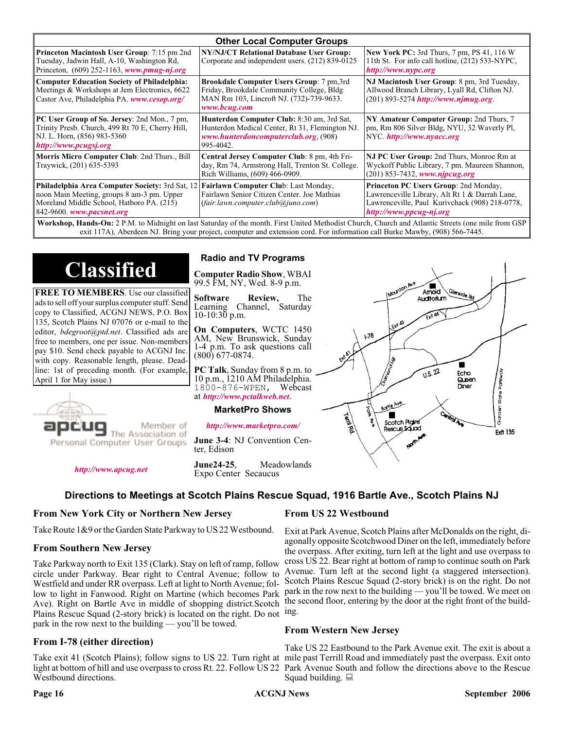| <b>Other Local Computer Groups</b>                                                                                                                                             |                                                                                                                                                    |                                                                                                                                                                      |  |  |  |
|--------------------------------------------------------------------------------------------------------------------------------------------------------------------------------|----------------------------------------------------------------------------------------------------------------------------------------------------|----------------------------------------------------------------------------------------------------------------------------------------------------------------------|--|--|--|
| <b>Princeton Macintosh User Group:</b> 7:15 pm 2nd<br>Tuesday, Jadwin Hall, A-10, Washington Rd,<br>Princeton, $(609)$ 252-1163, www.pmug-nj.org                               | NY/NJ/CT Relational Database User Group:<br>Corporate and independent users. (212) 839-0125                                                        | <b>New York PC:</b> 3rd Thurs, 7 pm, PS 41, 116 W<br>11th St. For info call hotline, (212) 533-NYPC,<br>http://www.nypc.org                                          |  |  |  |
| <b>Computer Education Society of Philadelphia:</b><br>Meetings & Workshops at Jem Electronics, 6622<br>Castor Ave, Philadelphia PA. www.cesop.org/                             | Brookdale Computer Users Group: 7 pm,3rd<br>Friday, Brookdale Community College, Bldg<br>MAN Rm 103, Lincroft NJ. (732)-739-9633.<br>www.bcug.com  | NJ Macintosh User Group: 8 pm, 3rd Tuesday,<br>Allwood Branch Library, Lyall Rd, Clifton NJ.<br>$(201)$ 893-5274 http://www.njmug.org.                               |  |  |  |
| PC User Group of So. Jersey: 2nd Mon., 7 pm,<br>Trinity Presb. Church, 499 Rt 70 E, Cherry Hill,<br>NJ. L. Horn, (856) 983-5360<br>http://www.pcugsj.org                       | Hunterdon Computer Club: 8:30 am, 3rd Sat,<br>Hunterdon Medical Center, Rt 31, Flemington NJ.<br>www.hunterdoncomputerclub.org. (908)<br>995-4042. | NY Amateur Computer Group: 2nd Thurs, 7<br>pm, Rm 806 Silver Bldg, NYU, 32 Waverly Pl,<br>NYC http://www.nyacc.org                                                   |  |  |  |
| Morris Micro Computer Club: 2nd Thurs., Bill<br>Traywick, (201) 635-5393                                                                                                       | Central Jersey Computer Club: 8 pm, 4th Fri-<br>day, Rm 74, Armstrong Hall, Trenton St. College.<br>Rich Williams, (609) 466-0909.                 | NJ PC User Group: 2nd Thurs, Monroe Rm at<br>Wyckoff Public Library, 7 pm. Maureen Shannon,<br>(201) 853-7432, www.njpcug.org                                        |  |  |  |
| <b>Philadelphia Area Computer Society: 3rd Sat, 12</b><br>noon Main Meeting, groups 8 am-3 pm. Upper<br>Moreland Middle School, Hatboro PA. (215)<br>842-9600. www.pacsnet.org | Fairlawn Computer Club: Last Monday,<br>Fairlawn Senior Citizen Center. Joe Mathias<br>(fair.lawn.computer. club@juno.com)                         | Princeton PC Users Group: 2nd Monday,<br>Lawrenceville Library, Alt Rt 1 & Darrah Lane,<br>Lawrenceville, Paul Kurivchack (908) 218-0778,<br>http://www.ppcug-nj.org |  |  |  |
| Workshop Hands-On: 2 PM to Midnight on last Saturday of the month First United Methodist Church Church and Atlantic Streets (one mile from GSP)                                |                                                                                                                                                    |                                                                                                                                                                      |  |  |  |

**Workshop, Hands-On:** 2 P.M. to Midnight on last Saturday of the month. First United Methodist Church, Church and Atlantic Streets (one mile from GSP exit 117A), Aberdeen NJ. Bring your project, computer and extension cord. For information call Burke Mawby, (908) 566-7445.

# **Classified**

**FREE TO MEMBERS**. Use our classified ads to sell off your surplus computer stuff. Send copy to Classified, ACGNJ NEWS, P.O. Box 135, Scotch Plains NJ 07076 or e-mail to the editor, *bdegroot@ptd.net*. Classified ads are free to members, one per issue. Non-members pay \$10. Send check payable to ACGNJ Inc. with copy. Reasonable length, please. Deadline: 1st of preceding month. (For example, April 1 for May issue.)



Member of

Personal Computer User Groups

*<http://www.apcug.net>*

## **Radio and TV Programs**

**Computer Radio Show**, WBAI 99.5 FM, NY, Wed. 8-9 p.m.

**Software Review,** The Channel, Saturday  $10-10:30$  p.m.

**On Computers**, WCTC 1450 AM, New Brunswick, Sunday 1-4 p.m. To ask questions call (800) 677-0874.

**PC Talk**, Sunday from 8 p.m. to 10 p.m., 1210 AM Philadelphia. 1800-876-WPEN, Webcast at *<http://www.pctalkweb.net>*.

#### **MarketPro Shows**

*<http://www.marketpro.com/>*

**June 3-4**: NJ Convention Center, Edison

**June24-25**, Meadowlands Expo Center Secaucus

Auditorium  $178$ ш  $\sqrt{1.5.22}$ Echo Garden State Park Queen Diner Borle Ave Territors Scotch Pigins Rescue Sound **Ext1 135** 

Amold

### **Directions to Meetings at Scotch Plains Rescue Squad, 1916 Bartle Ave., Scotch Plains NJ**

#### **From New York City or Northern New Jersey**

Take Route 1&9 or the Garden State Parkway to US 22 Westbound.

#### **From Southern New Jersey**

Take Parkway north to Exit 135 (Clark). Stay on left of ramp, follow circle under Parkway. Bear right to Central Avenue; follow to Westfield and under RR overpass. Left at light to North Avenue; follow to light in Fanwood. Right on Martine (which becomes Park Ave). Right on Bartle Ave in middle of shopping district.Scotch Plains Rescue Squad (2-story brick) is located on the right. Do not ing. park in the row next to the building — you'll be towed.

### **From I-78 (either direction)**

Take exit 41 (Scotch Plains); follow signs to US 22. Turn right at mile past Terrill Road and immediately past the overpass. Exit onto light at bottom of hill and use overpass to cross Rt. 22. Follow US 22 Park Avenue South and follow the directions above to the Rescue Westbound directions.

#### **From US 22 Westbound**

Exit at Park Avenue, Scotch Plains after McDonalds on the right, diagonally opposite Scotchwood Diner on the left, immediately before the overpass. After exiting, turn left at the light and use overpass to cross US 22. Bear right at bottom of ramp to continue south on Park Avenue. Turn left at the second light (a staggered intersection). Scotch Plains Rescue Squad (2-story brick) is on the right. Do not park in the row next to the building — you'll be towed. We meet on the second floor, entering by the door at the right front of the build-

### **From Western New Jersey**

Take US 22 Eastbound to the Park Avenue exit. The exit is about a Squad building.  $\Box$